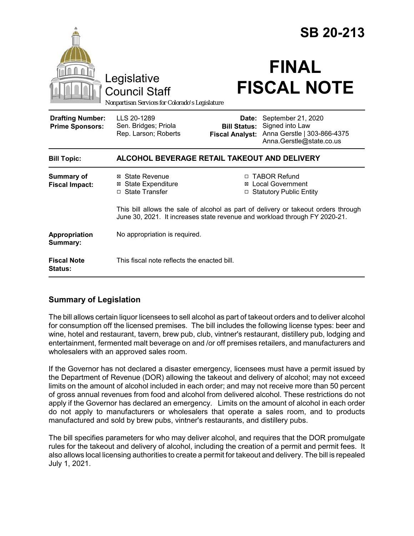|                                                   | Legislative<br><b>Council Staff</b><br>Nonpartisan Services for Colorado's Legislature |                                                        | <b>SB 20-213</b><br><b>FINAL</b><br><b>FISCAL NOTE</b>                                                                                                                                                                                          |  |
|---------------------------------------------------|----------------------------------------------------------------------------------------|--------------------------------------------------------|-------------------------------------------------------------------------------------------------------------------------------------------------------------------------------------------------------------------------------------------------|--|
| <b>Drafting Number:</b><br><b>Prime Sponsors:</b> | LLS 20-1289<br>Sen. Bridges; Priola<br>Rep. Larson; Roberts                            | Date:<br><b>Bill Status:</b><br><b>Fiscal Analyst:</b> | September 21, 2020<br>Signed into Law<br>Anna Gerstle   303-866-4375<br>Anna.Gerstle@state.co.us                                                                                                                                                |  |
| <b>Bill Topic:</b>                                | ALCOHOL BEVERAGE RETAIL TAKEOUT AND DELIVERY                                           |                                                        |                                                                                                                                                                                                                                                 |  |
| <b>Summary of</b><br><b>Fiscal Impact:</b>        | ⊠ State Revenue<br><b>State Expenditure</b><br>⊠<br><b>State Transfer</b><br>$\Box$    | $\Box$                                                 | □ TABOR Refund<br><b>Local Government</b><br><b>Statutory Public Entity</b><br>This bill allows the sale of alcohol as part of delivery or takeout orders through<br>June 30, 2021. It increases state revenue and workload through FY 2020-21. |  |
| Appropriation<br>Summary:                         | No appropriation is required.                                                          |                                                        |                                                                                                                                                                                                                                                 |  |
| <b>Fiscal Note</b><br>Status:                     | This fiscal note reflects the enacted bill.                                            |                                                        |                                                                                                                                                                                                                                                 |  |

## **Summary of Legislation**

The bill allows certain liquor licensees to sell alcohol as part of takeout orders and to deliver alcohol for consumption off the licensed premises. The bill includes the following license types: beer and wine, hotel and restaurant, tavern, brew pub, club, vintner's restaurant, distillery pub, lodging and entertainment, fermented malt beverage on and /or off premises retailers, and manufacturers and wholesalers with an approved sales room.

If the Governor has not declared a disaster emergency, licensees must have a permit issued by the Department of Revenue (DOR) allowing the takeout and delivery of alcohol; may not exceed limits on the amount of alcohol included in each order; and may not receive more than 50 percent of gross annual revenues from food and alcohol from delivered alcohol. These restrictions do not apply if the Governor has declared an emergency. Limits on the amount of alcohol in each order do not apply to manufacturers or wholesalers that operate a sales room, and to products manufactured and sold by brew pubs, vintner's restaurants, and distillery pubs.

The bill specifies parameters for who may deliver alcohol, and requires that the DOR promulgate rules for the takeout and delivery of alcohol, including the creation of a permit and permit fees. It also allows local licensing authorities to create a permit for takeout and delivery. The bill is repealed July 1, 2021.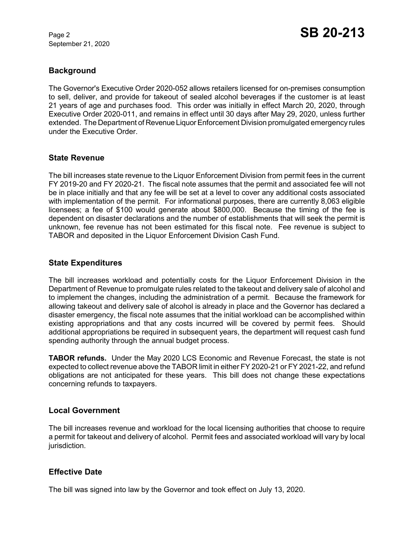September 21, 2020

# **Background**

The Governor's Executive Order 2020-052 allows retailers licensed for on-premises consumption to sell, deliver, and provide for takeout of sealed alcohol beverages if the customer is at least 21 years of age and purchases food. This order was initially in effect March 20, 2020, through Executive Order 2020-011, and remains in effect until 30 days after May 29, 2020, unless further extended. The Department of Revenue Liquor Enforcement Division promulgated emergency rules under the Executive Order.

#### **State Revenue**

The bill increases state revenue to the Liquor Enforcement Division from permit fees in the current FY 2019-20 and FY 2020-21. The fiscal note assumes that the permit and associated fee will not be in place initially and that any fee will be set at a level to cover any additional costs associated with implementation of the permit. For informational purposes, there are currently 8,063 eligible licensees; a fee of \$100 would generate about \$800,000. Because the timing of the fee is dependent on disaster declarations and the number of establishments that will seek the permit is unknown, fee revenue has not been estimated for this fiscal note. Fee revenue is subject to TABOR and deposited in the Liquor Enforcement Division Cash Fund.

#### **State Expenditures**

The bill increases workload and potentially costs for the Liquor Enforcement Division in the Department of Revenue to promulgate rules related to the takeout and delivery sale of alcohol and to implement the changes, including the administration of a permit. Because the framework for allowing takeout and delivery sale of alcohol is already in place and the Governor has declared a disaster emergency, the fiscal note assumes that the initial workload can be accomplished within existing appropriations and that any costs incurred will be covered by permit fees. Should additional appropriations be required in subsequent years, the department will request cash fund spending authority through the annual budget process.

**TABOR refunds.** Under the May 2020 LCS Economic and Revenue Forecast, the state is not expected to collect revenue above the TABOR limit in either FY 2020-21 or FY 2021-22, and refund obligations are not anticipated for these years. This bill does not change these expectations concerning refunds to taxpayers.

## **Local Government**

The bill increases revenue and workload for the local licensing authorities that choose to require a permit for takeout and delivery of alcohol. Permit fees and associated workload will vary by local jurisdiction.

## **Effective Date**

The bill was signed into law by the Governor and took effect on July 13, 2020.